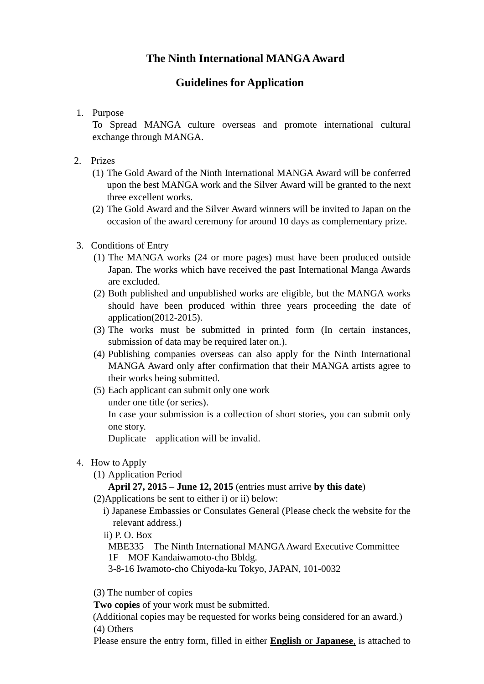# **The Ninth International MANGAAward**

# **Guidelines for Application**

1. Purpose

To Spread MANGA culture overseas and promote international cultural exchange through MANGA.

- 2. Prizes
	- (1) The Gold Award of the Ninth International MANGA Award will be conferred upon the best MANGA work and the Silver Award will be granted to the next three excellent works.
	- (2) The Gold Award and the Silver Award winners will be invited to Japan on the occasion of the award ceremony for around 10 days as complementary prize.

#### 3. Conditions of Entry

- (1) The MANGA works (24 or more pages) must have been produced outside Japan. The works which have received the past International Manga Awards are excluded.
- (2) Both published and unpublished works are eligible, but the MANGA works should have been produced within three years proceeding the date of application(2012-2015).
- (3) The works must be submitted in printed form (In certain instances, submission of data may be required later on.).
- (4) Publishing companies overseas can also apply for the Ninth International MANGA Award only after confirmation that their MANGA artists agree to their works being submitted.
- (5) Each applicant can submit only one work under one title (or series).

In case your submission is a collection of short stories, you can submit only one story.

Duplicate application will be invalid.

- 4. How to Apply
	- (1) Application Period

## **April 27, 2015 – June 12, 2015** (entries must arrive **by this date**)

(2)Applications be sent to either i) or ii) below:

- i) Japanese Embassies or Consulates General (Please check the website for the relevant address.)
- ii) P. O. Box

MBE335 The Ninth International MANGA Award Executive Committee 1F MOF Kandaiwamoto-cho Bbldg.

3-8-16 Iwamoto-cho Chiyoda-ku Tokyo, JAPAN, 101-0032

(3) The number of copies

**Two copies** of your work must be submitted.

(Additional copies may be requested for works being considered for an award.) (4) Others

Please ensure the entry form, filled in either **English** or **Japanese**, is attached to